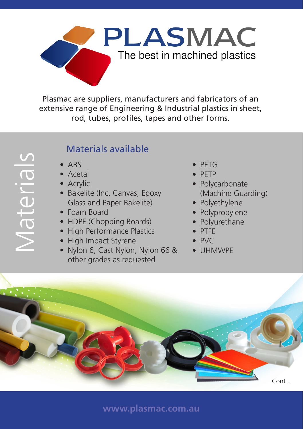Plasmac are suppliers, manufacturers and fabricators of an extensive range of Engineering & Industrial plastics in sheet, rod, tubes, profiles, tapes and other forms.

**PLASMAC** 

The best in machined plastics

## Materials available

- ABS
- Acetal
- Acrylic
- Bakelite (Inc. Canvas, Epoxy Glass and Paper Bakelite)
- Foam Board
- HDPE (Chopping Boards)
- High Performance Plastics
- High Impact Styrene
- Nylon 6, Cast Nylon, Nylon 66 & other grades as requested
- PETG
- PETP
- Polycarbonate (Machine Guarding)
- Polyethylene
- Polypropylene
- Polyurethane
- PTFE
- PVC
- UHMWPE